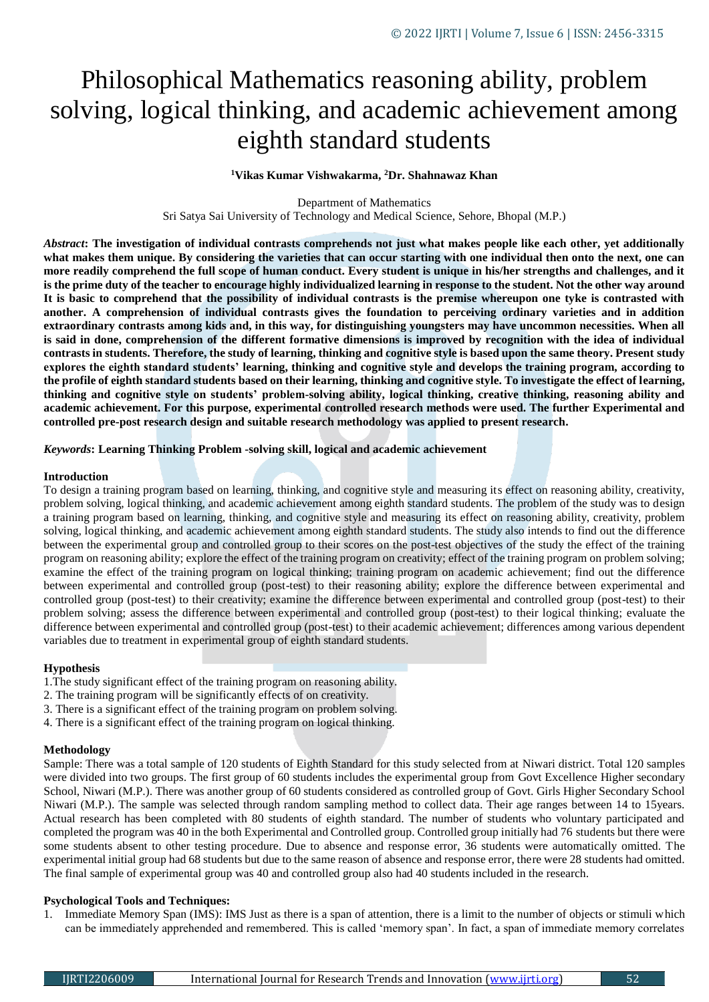# Philosophical Mathematics reasoning ability, problem solving, logical thinking, and academic achievement among eighth standard students

## **<sup>1</sup>Vikas Kumar Vishwakarma, <sup>2</sup>Dr. Shahnawaz Khan**

Department of Mathematics

Sri Satya Sai University of Technology and Medical Science, Sehore, Bhopal (M.P.)

*Abstract***: The investigation of individual contrasts comprehends not just what makes people like each other, yet additionally what makes them unique. By considering the varieties that can occur starting with one individual then onto the next, one can more readily comprehend the full scope of human conduct. Every student is unique in his/her strengths and challenges, and it is the prime duty of the teacher to encourage highly individualized learning in response to the student. Not the other way around It is basic to comprehend that the possibility of individual contrasts is the premise whereupon one tyke is contrasted with another. A comprehension of individual contrasts gives the foundation to perceiving ordinary varieties and in addition extraordinary contrasts among kids and, in this way, for distinguishing youngsters may have uncommon necessities. When all is said in done, comprehension of the different formative dimensions is improved by recognition with the idea of individual contrasts in students. Therefore, the study of learning, thinking and cognitive style is based upon the same theory. Present study explores the eighth standard students' learning, thinking and cognitive style and develops the training program, according to the profile of eighth standard students based on their learning, thinking and cognitive style. To investigate the effect of learning, thinking and cognitive style on students' problem-solving ability, logical thinking, creative thinking, reasoning ability and academic achievement. For this purpose, experimental controlled research methods were used. The further Experimental and controlled pre-post research design and suitable research methodology was applied to present research.**

*Keywords***: Learning Thinking Problem -solving skill, logical and academic achievement**

#### **Introduction**

To design a training program based on learning, thinking, and cognitive style and measuring its effect on reasoning ability, creativity, problem solving, logical thinking, and academic achievement among eighth standard students. The problem of the study was to design a training program based on learning, thinking, and cognitive style and measuring its effect on reasoning ability, creativity, problem solving, logical thinking, and academic achievement among eighth standard students. The study also intends to find out the difference between the experimental group and controlled group to their scores on the post-test objectives of the study the effect of the training program on reasoning ability; explore the effect of the training program on creativity; effect of the training program on problem solving; examine the effect of the training program on logical thinking; training program on academic achievement; find out the difference between experimental and controlled group (post-test) to their reasoning ability; explore the difference between experimental and controlled group (post-test) to their creativity; examine the difference between experimental and controlled group (post-test) to their problem solving; assess the difference between experimental and controlled group (post-test) to their logical thinking; evaluate the difference between experimental and controlled group (post-test) to their academic achievement; differences among various dependent variables due to treatment in experimental group of eighth standard students.

### **Hypothesis**

- 1.The study significant effect of the training program on reasoning ability.
- 2. The training program will be significantly effects of on creativity.
- 3. There is a significant effect of the training program on problem solving.
- 4. There is a significant effect of the training program on logical thinking.

### **Methodology**

Sample: There was a total sample of 120 students of Eighth Standard for this study selected from at Niwari district. Total 120 samples were divided into two groups. The first group of 60 students includes the experimental group from Govt Excellence Higher secondary School, Niwari (M.P.). There was another group of 60 students considered as controlled group of Govt. Girls Higher Secondary School Niwari (M.P.). The sample was selected through random sampling method to collect data. Their age ranges between 14 to 15years. Actual research has been completed with 80 students of eighth standard. The number of students who voluntary participated and completed the program was 40 in the both Experimental and Controlled group. Controlled group initially had 76 students but there were some students absent to other testing procedure. Due to absence and response error, 36 students were automatically omitted. The experimental initial group had 68 students but due to the same reason of absence and response error, there were 28 students had omitted. The final sample of experimental group was 40 and controlled group also had 40 students included in the research.

### **Psychological Tools and Techniques:**

1. Immediate Memory Span (IMS): IMS Just as there is a span of attention, there is a limit to the number of objects or stimuli which can be immediately apprehended and remembered. This is called 'memory span'. In fact, a span of immediate memory correlates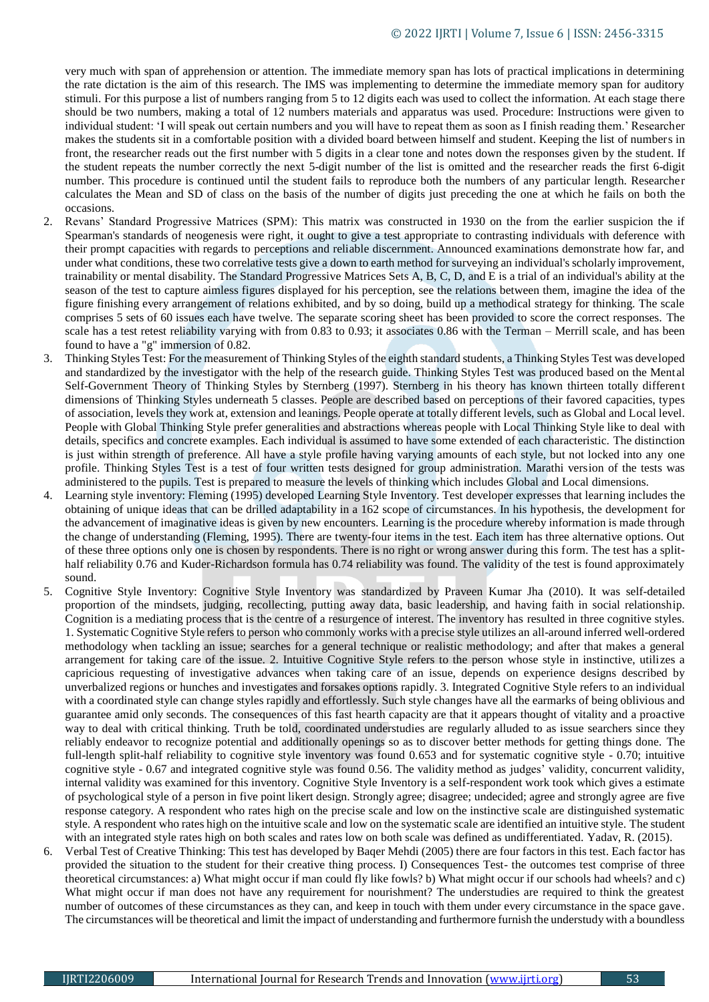very much with span of apprehension or attention. The immediate memory span has lots of practical implications in determining the rate dictation is the aim of this research. The IMS was implementing to determine the immediate memory span for auditory stimuli. For this purpose a list of numbers ranging from 5 to 12 digits each was used to collect the information. At each stage there should be two numbers, making a total of 12 numbers materials and apparatus was used. Procedure: Instructions were given to individual student: 'I will speak out certain numbers and you will have to repeat them as soon as I finish reading them.' Researcher makes the students sit in a comfortable position with a divided board between himself and student. Keeping the list of numbers in front, the researcher reads out the first number with 5 digits in a clear tone and notes down the responses given by the student. If the student repeats the number correctly the next 5-digit number of the list is omitted and the researcher reads the first 6-digit number. This procedure is continued until the student fails to reproduce both the numbers of any particular length. Researcher calculates the Mean and SD of class on the basis of the number of digits just preceding the one at which he fails on both the occasions.

- 2. Revans' Standard Progressive Matrices (SPM): This matrix was constructed in 1930 on the from the earlier suspicion the if Spearman's standards of neogenesis were right, it ought to give a test appropriate to contrasting individuals with deference with their prompt capacities with regards to perceptions and reliable discernment. Announced examinations demonstrate how far, and under what conditions, these two correlative tests give a down to earth method for surveying an individual's scholarly improvement, trainability or mental disability. The Standard Progressive Matrices Sets A, B, C, D, and E is a trial of an individual's ability at the season of the test to capture aimless figures displayed for his perception, see the relations between them, imagine the idea of the figure finishing every arrangement of relations exhibited, and by so doing, build up a methodical strategy for thinking. The scale comprises 5 sets of 60 issues each have twelve. The separate scoring sheet has been provided to score the correct responses. The scale has a test retest reliability varying with from 0.83 to 0.93; it associates 0.86 with the Terman – Merrill scale, and has been found to have a "g" immersion of 0.82.
- 3. Thinking Styles Test: For the measurement of Thinking Styles of the eighth standard students, a Thinking Styles Test was developed and standardized by the investigator with the help of the research guide. Thinking Styles Test was produced based on the Mental Self-Government Theory of Thinking Styles by Sternberg (1997). Sternberg in his theory has known thirteen totally different dimensions of Thinking Styles underneath 5 classes. People are described based on perceptions of their favored capacities, types of association, levels they work at, extension and leanings. People operate at totally different levels, such as Global and Local level. People with Global Thinking Style prefer generalities and abstractions whereas people with Local Thinking Style like to deal with details, specifics and concrete examples. Each individual is assumed to have some extended of each characteristic. The distinction is just within strength of preference. All have a style profile having varying amounts of each style, but not locked into any one profile. Thinking Styles Test is a test of four written tests designed for group administration. Marathi version of the tests was administered to the pupils. Test is prepared to measure the levels of thinking which includes Global and Local dimensions.
- 4. Learning style inventory: Fleming (1995) developed Learning Style Inventory. Test developer expresses that learning includes the obtaining of unique ideas that can be drilled adaptability in a 162 scope of circumstances. In his hypothesis, the development for the advancement of imaginative ideas is given by new encounters. Learning is the procedure whereby information is made through the change of understanding (Fleming, 1995). There are twenty-four items in the test. Each item has three alternative options. Out of these three options only one is chosen by respondents. There is no right or wrong answer during this form. The test has a splithalf reliability 0.76 and Kuder-Richardson formula has 0.74 reliability was found. The validity of the test is found approximately sound.
- 5. Cognitive Style Inventory: Cognitive Style Inventory was standardized by Praveen Kumar Jha (2010). It was self-detailed proportion of the mindsets, judging, recollecting, putting away data, basic leadership, and having faith in social relationship. Cognition is a mediating process that is the centre of a resurgence of interest. The inventory has resulted in three cognitive styles. 1. Systematic Cognitive Style refers to person who commonly works with a precise style utilizes an all-around inferred well-ordered methodology when tackling an issue; searches for a general technique or realistic methodology; and after that makes a general arrangement for taking care of the issue. 2. Intuitive Cognitive Style refers to the person whose style in instinctive, utilizes a capricious requesting of investigative advances when taking care of an issue, depends on experience designs described by unverbalized regions or hunches and investigates and forsakes options rapidly. 3. Integrated Cognitive Style refers to an individual with a coordinated style can change styles rapidly and effortlessly. Such style changes have all the earmarks of being oblivious and guarantee amid only seconds. The consequences of this fast hearth capacity are that it appears thought of vitality and a proactive way to deal with critical thinking. Truth be told, coordinated understudies are regularly alluded to as issue searchers since they reliably endeavor to recognize potential and additionally openings so as to discover better methods for getting things done. The full-length split-half reliability to cognitive style inventory was found 0.653 and for systematic cognitive style - 0.70; intuitive cognitive style - 0.67 and integrated cognitive style was found 0.56. The validity method as judges' validity, concurrent validity, internal validity was examined for this inventory. Cognitive Style Inventory is a self-respondent work took which gives a estimate of psychological style of a person in five point likert design. Strongly agree; disagree; undecided; agree and strongly agree are five response category. A respondent who rates high on the precise scale and low on the instinctive scale are distinguished systematic style. A respondent who rates high on the intuitive scale and low on the systematic scale are identified an intuitive style. The student with an integrated style rates high on both scales and rates low on both scale was defined as undifferentiated. Yadav, R. (2015).
- Verbal Test of Creative Thinking: This test has developed by Baqer Mehdi (2005) there are four factors in this test. Each factor has provided the situation to the student for their creative thing process. I) Consequences Test- the outcomes test comprise of three theoretical circumstances: a) What might occur if man could fly like fowls? b) What might occur if our schools had wheels? and c) What might occur if man does not have any requirement for nourishment? The understudies are required to think the greatest number of outcomes of these circumstances as they can, and keep in touch with them under every circumstance in the space gave. The circumstances will be theoretical and limit the impact of understanding and furthermore furnish the understudy with a boundless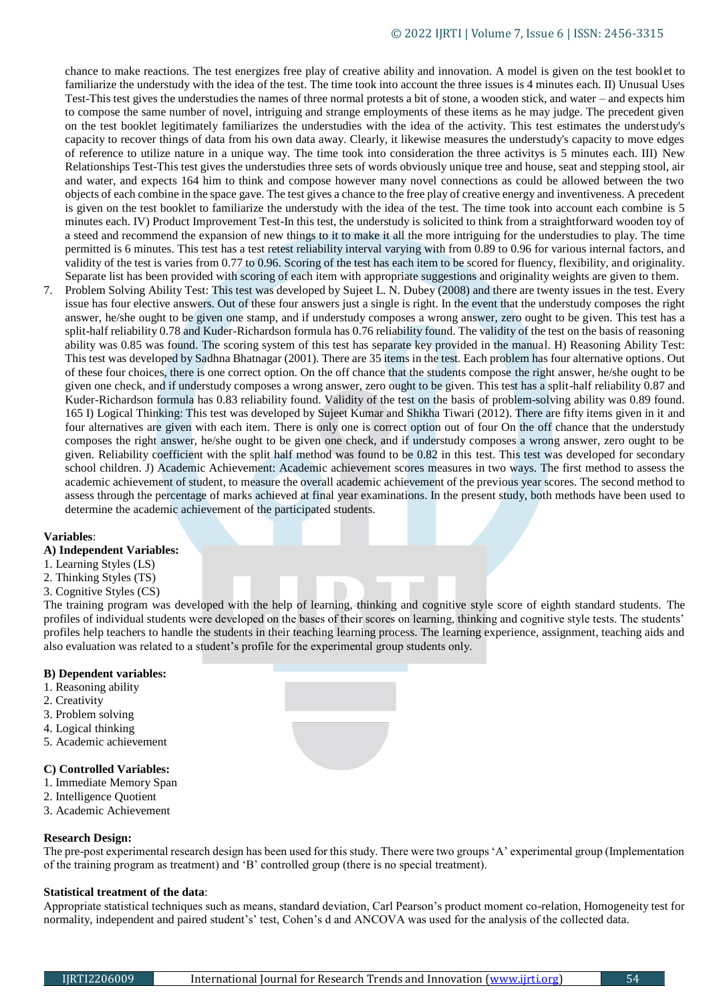chance to make reactions. The test energizes free play of creative ability and innovation. A model is given on the test booklet to familiarize the understudy with the idea of the test. The time took into account the three issues is 4 minutes each. II) Unusual Uses Test-This test gives the understudies the names of three normal protests a bit of stone, a wooden stick, and water – and expects him to compose the same number of novel, intriguing and strange employments of these items as he may judge. The precedent given on the test booklet legitimately familiarizes the understudies with the idea of the activity. This test estimates the understudy's capacity to recover things of data from his own data away. Clearly, it likewise measures the understudy's capacity to move edges of reference to utilize nature in a unique way. The time took into consideration the three activitys is 5 minutes each. III) New Relationships Test-This test gives the understudies three sets of words obviously unique tree and house, seat and stepping stool, air and water, and expects 164 him to think and compose however many novel connections as could be allowed between the two objects of each combine in the space gave. The test gives a chance to the free play of creative energy and inventiveness. A precedent is given on the test booklet to familiarize the understudy with the idea of the test. The time took into account each combine is 5 minutes each. IV) Product Improvement Test-In this test, the understudy is solicited to think from a straightforward wooden toy of a steed and recommend the expansion of new things to it to make it all the more intriguing for the understudies to play. The time permitted is 6 minutes. This test has a test retest reliability interval varying with from 0.89 to 0.96 for various internal factors, and validity of the test is varies from 0.77 to 0.96. Scoring of the test has each item to be scored for fluency, flexibility, and originality. Separate list has been provided with scoring of each item with appropriate suggestions and originality weights are given to them.

7. Problem Solving Ability Test: This test was developed by Sujeet L. N. Dubey (2008) and there are twenty issues in the test. Every issue has four elective answers. Out of these four answers just a single is right. In the event that the understudy composes the right answer, he/she ought to be given one stamp, and if understudy composes a wrong answer, zero ought to be given. This test has a split-half reliability 0.78 and Kuder-Richardson formula has 0.76 reliability found. The validity of the test on the basis of reasoning ability was 0.85 was found. The scoring system of this test has separate key provided in the manual. H) Reasoning Ability Test: This test was developed by Sadhna Bhatnagar (2001). There are 35 items in the test. Each problem has four alternative options. Out of these four choices, there is one correct option. On the off chance that the students compose the right answer, he/she ought to be given one check, and if understudy composes a wrong answer, zero ought to be given. This test has a split-half reliability 0.87 and Kuder-Richardson formula has 0.83 reliability found. Validity of the test on the basis of problem-solving ability was 0.89 found. 165 I) Logical Thinking: This test was developed by Sujeet Kumar and Shikha Tiwari (2012). There are fifty items given in it and four alternatives are given with each item. There is only one is correct option out of four On the off chance that the understudy composes the right answer, he/she ought to be given one check, and if understudy composes a wrong answer, zero ought to be given. Reliability coefficient with the split half method was found to be 0.82 in this test. This test was developed for secondary school children. J) Academic Achievement: Academic achievement scores measures in two ways. The first method to assess the academic achievement of student, to measure the overall academic achievement of the previous year scores. The second method to assess through the percentage of marks achieved at final year examinations. In the present study, both methods have been used to determine the academic achievement of the participated students.

# **Variables**:

# **A) Independent Variables:**

- 1. Learning Styles (LS)
- 2. Thinking Styles (TS)
- 3. Cognitive Styles (CS)

The training program was developed with the help of learning, thinking and cognitive style score of eighth standard students. The profiles of individual students were developed on the bases of their scores on learning, thinking and cognitive style tests. The students' profiles help teachers to handle the students in their teaching learning process. The learning experience, assignment, teaching aids and also evaluation was related to a student's profile for the experimental group students only.

### **B) Dependent variables:**

- 1. Reasoning ability
- 2. Creativity
- 3. Problem solving
- 4. Logical thinking
- 5. Academic achievement

# **C) Controlled Variables:**

- 1. Immediate Memory Span
- 2. Intelligence Quotient
- 3. Academic Achievement

## **Research Design:**

The pre-post experimental research design has been used for this study. There were two groups 'A' experimental group (Implementation of the training program as treatment) and 'B' controlled group (there is no special treatment).

## **Statistical treatment of the data**:

Appropriate statistical techniques such as means, standard deviation, Carl Pearson's product moment co-relation, Homogeneity test for normality, independent and paired student's' test, Cohen's d and ANCOVA was used for the analysis of the collected data.